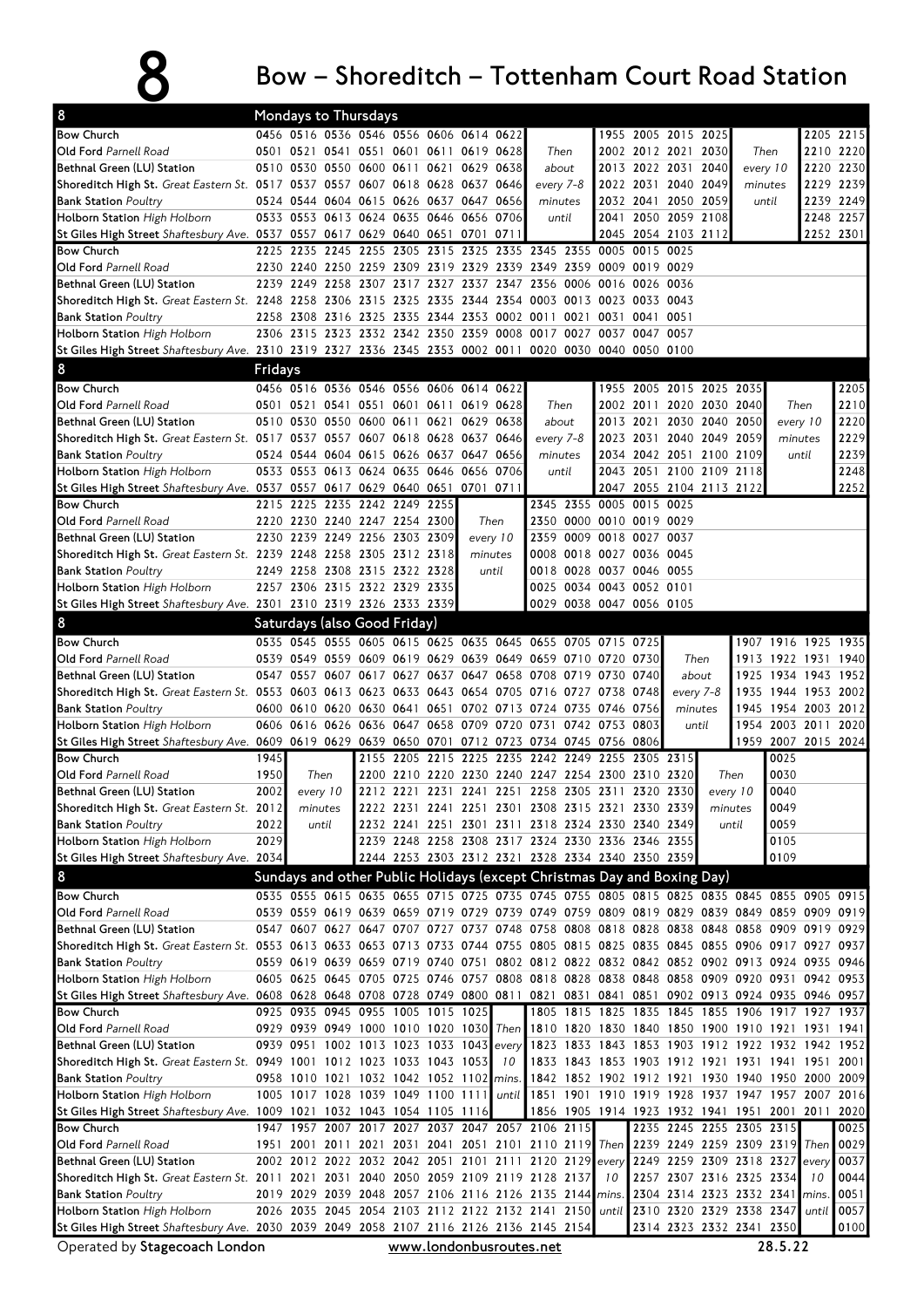## $8$  Bow – Shoreditch – Tottenham Court Road Station

| 8                                                                                                                                                               |                         | Mondays to Thursdays                                                               |       |  |                                |  |           |          |                                                                                                                                                                                        |                                   |                          |                |                                            |           |                                                   |                |                     |           |
|-----------------------------------------------------------------------------------------------------------------------------------------------------------------|-------------------------|------------------------------------------------------------------------------------|-------|--|--------------------------------|--|-----------|----------|----------------------------------------------------------------------------------------------------------------------------------------------------------------------------------------|-----------------------------------|--------------------------|----------------|--------------------------------------------|-----------|---------------------------------------------------|----------------|---------------------|-----------|
| <b>Bow Church</b>                                                                                                                                               |                         | 0456 0516 0536 0546 0556 0606 0614 0622                                            |       |  |                                |  |           |          |                                                                                                                                                                                        |                                   |                          |                | 1955 2005 2015 2025                        |           |                                                   |                | 2205 2215           |           |
| Old Ford Parnell Road                                                                                                                                           |                         | 0501 0521 0541 0551 0601 0611 0619 0628<br>0510 0530 0550 0600 0611 0621 0629 0638 |       |  |                                |  |           |          | Then<br>about                                                                                                                                                                          |                                   |                          |                | 2002 2012 2021 2030                        |           | Then                                              |                | 2220 2230           | 2210 2220 |
| Bethnal Green (LU) Station<br>Shoreditch High St. Great Eastern St. 0517 0537 0557 0607 0618 0628 0637 0646                                                     |                         |                                                                                    |       |  |                                |  |           |          | every 7-8                                                                                                                                                                              |                                   |                          |                | 2013 2022 2031 2040<br>2022 2031 2040 2049 |           | every 10<br>minutes                               |                | 2229 2239           |           |
| <b>Bank Station Poultry</b>                                                                                                                                     |                         | 0524 0544 0604 0615 0626 0637 0647 0656                                            |       |  |                                |  |           |          | minutes                                                                                                                                                                                |                                   |                          |                | 2032 2041 2050 2059                        |           |                                                   |                |                     | 2239 2249 |
| <b>Holborn Station</b> High Holborn                                                                                                                             |                         | 0533 0553 0613 0624 0635 0646 0656 0706                                            |       |  |                                |  |           |          | until                                                                                                                                                                                  |                                   | 2041                     |                | 2050 2059 2108                             |           | until                                             |                | 2248 2257           |           |
| St Giles High Street Shaftesbury Ave. 0537 0557 0617 0629 0640 0651 0701                                                                                        |                         |                                                                                    |       |  |                                |  |           | 0711     |                                                                                                                                                                                        |                                   |                          |                | 2045 2054 2103 2112                        |           |                                                   |                | 2252 2301           |           |
| <b>Bow Church</b>                                                                                                                                               | 2225                    | 2235                                                                               |       |  |                                |  |           |          | 2245 2255 2305 2315 2325 2335 2345 2355 0005 0015 0025                                                                                                                                 |                                   |                          |                |                                            |           |                                                   |                |                     |           |
| Old Ford Parnell Road                                                                                                                                           |                         |                                                                                    |       |  |                                |  |           |          | 2230 2240 2250 2259 2309 2319 2329 2339 2349 2359 0009 0019 0029                                                                                                                       |                                   |                          |                |                                            |           |                                                   |                |                     |           |
| Bethnal Green (LU) Station                                                                                                                                      |                         |                                                                                    |       |  |                                |  |           |          | 2239 2249 2258 2307 2317 2327 2337 2347 2356 0006 0016 0026 0036                                                                                                                       |                                   |                          |                |                                            |           |                                                   |                |                     |           |
| Shoreditch High St. Great Eastern St. 2248 2258 2306 2315 2325 2335 2344 2354 0003 0013 0023 0033 0043                                                          |                         |                                                                                    |       |  |                                |  |           |          |                                                                                                                                                                                        |                                   |                          |                |                                            |           |                                                   |                |                     |           |
| <b>Bank Station Poultry</b>                                                                                                                                     |                         |                                                                                    |       |  |                                |  |           |          | 2258 2308 2316 2325 2335 2344 2353 0002 0011 0021                                                                                                                                      |                                   |                          | 0031 0041 0051 |                                            |           |                                                   |                |                     |           |
| Holborn Station High Holborn                                                                                                                                    |                         |                                                                                    |       |  |                                |  |           |          | 2306 2315 2323 2332 2342 2350 2359 0008 0017 0027 0037 0047 0057                                                                                                                       |                                   |                          |                |                                            |           |                                                   |                |                     |           |
| St Giles High Street Shaftesbury Ave. 2310 2319 2327 2336 2345 2353 0002 0011 0020 0030 0040 0050 0100                                                          |                         |                                                                                    |       |  |                                |  |           |          |                                                                                                                                                                                        |                                   |                          |                |                                            |           |                                                   |                |                     |           |
| 8                                                                                                                                                               | Fridays                 |                                                                                    |       |  |                                |  |           |          |                                                                                                                                                                                        |                                   |                          |                |                                            |           |                                                   |                |                     |           |
| <b>Bow Church</b>                                                                                                                                               |                         | 0456 0516 0536 0546 0556 0606 0614 0622                                            |       |  |                                |  |           |          |                                                                                                                                                                                        |                                   |                          |                | 1955 2005 2015 2025 2035                   |           |                                                   |                |                     | 2205      |
| <b>Old Ford</b> Parnell Road                                                                                                                                    |                         | 0501 0521 0541 0551 0601 0611 0619 0628                                            |       |  |                                |  |           |          | Then                                                                                                                                                                                   |                                   |                          |                | 2002 2011 2020 2030 2040                   |           |                                                   |                | Then                | 2210      |
| Bethnal Green (LU) Station                                                                                                                                      |                         | 0510 0530 0550 0600 0611 0621 0629 0638                                            |       |  |                                |  |           |          |                                                                                                                                                                                        | 2013 2021 2030 2040 2050<br>about |                          |                |                                            |           | every 10                                          |                | 2220                |           |
| Shoreditch High St. Great Eastern St. 0517 0537 0557 0607 0618 0628 0637 0646                                                                                   |                         |                                                                                    |       |  |                                |  |           |          | every 7-8                                                                                                                                                                              |                                   |                          |                | 2023 2031 2040 2049 2059                   |           |                                                   | minutes        |                     | 2229      |
| <b>Bank Station Poultry</b>                                                                                                                                     |                         | 0524 0544 0604 0615 0626 0637 0647 0656                                            |       |  |                                |  |           |          | minutes                                                                                                                                                                                |                                   |                          |                | 2034 2042 2051 2100 2109                   |           |                                                   |                | until               | 2239      |
| <b>Holborn Station</b> High Holborn                                                                                                                             |                         | 0533 0553 0613 0624 0635 0646 0656 0706                                            |       |  |                                |  |           |          | until                                                                                                                                                                                  |                                   |                          |                | 2043 2051 2100 2109 2118                   |           |                                                   |                |                     | 2248      |
| St Giles High Street Shaftesbury Ave. 0537 0557 0617 0629 0640 0651                                                                                             |                         |                                                                                    |       |  |                                |  | 0701 0711 |          |                                                                                                                                                                                        |                                   |                          |                | 2047 2055 2104 2113 2122                   |           |                                                   |                |                     | 2252      |
| <b>Bow Church</b>                                                                                                                                               |                         | 2215 2225 2235 2242 2249 2255                                                      |       |  |                                |  |           |          |                                                                                                                                                                                        |                                   | 2345 2355 0005 0015 0025 |                |                                            |           |                                                   |                |                     |           |
| Old Ford Parnell Road                                                                                                                                           |                         | 2220 2230 2240 2247 2254 2300                                                      |       |  |                                |  |           | Then     |                                                                                                                                                                                        |                                   | 2350 0000 0010 0019 0029 |                |                                            |           |                                                   |                |                     |           |
| Bethnal Green (LU) Station                                                                                                                                      |                         | 2230 2239 2249 2256 2303 2309                                                      |       |  |                                |  |           | every 10 |                                                                                                                                                                                        |                                   | 2359 0009 0018 0027 0037 |                |                                            |           |                                                   |                |                     |           |
| Shoreditch High St. Great Eastern St. 2239 2248 2258 2305 2312 2318                                                                                             |                         |                                                                                    |       |  |                                |  |           | minutes  |                                                                                                                                                                                        |                                   | 0008 0018 0027 0036 0045 |                |                                            |           |                                                   |                |                     |           |
| <b>Bank Station Poultry</b>                                                                                                                                     |                         | 2249 2258 2308 2315 2322 2328                                                      |       |  |                                |  |           | until    |                                                                                                                                                                                        |                                   | 0018 0028 0037 0046 0055 |                |                                            |           |                                                   |                |                     |           |
| Holborn Station High Holborn                                                                                                                                    |                         | 2257 2306 2315 2322 2329 2335                                                      |       |  |                                |  |           |          |                                                                                                                                                                                        |                                   | 0025 0034 0043 0052 0101 |                |                                            |           |                                                   |                |                     |           |
| St Giles High Street Shaftesbury Ave. 2301 2310 2319 2326 2333 2339                                                                                             |                         |                                                                                    |       |  |                                |  |           |          |                                                                                                                                                                                        |                                   | 0029 0038 0047 0056 0105 |                |                                            |           |                                                   |                |                     |           |
| 8                                                                                                                                                               |                         | Saturdays (also Good Friday)                                                       |       |  |                                |  |           |          |                                                                                                                                                                                        |                                   |                          |                |                                            |           |                                                   |                |                     |           |
| <b>Bow Church</b>                                                                                                                                               |                         |                                                                                    |       |  |                                |  |           |          | 0535 0545 0555 0605 0615 0625 0635 0645 0655 0705 0715 0725                                                                                                                            |                                   |                          |                |                                            |           |                                                   |                | 1907 1916 1925 1935 |           |
| Old Ford Parnell Road                                                                                                                                           |                         |                                                                                    |       |  |                                |  |           |          | 0539 0549 0559 0609 0619 0629 0639 0649 0659 0710 0720 0730                                                                                                                            |                                   |                          |                |                                            | Then      |                                                   | 1913 1922 1931 |                     | 1940      |
| Bethnal Green (LU) Station                                                                                                                                      |                         |                                                                                    |       |  |                                |  |           |          | 0547 0557 0607 0617 0627 0637 0647 0658 0708 0719 0730 0740                                                                                                                            |                                   |                          |                |                                            | about     |                                                   |                | 1925 1934 1943      | 1952      |
| Shoreditch High St. Great Eastern St. 0553 0603 0613 0623 0633 0643 0654 0705 0716 0727 0738 0748                                                               |                         |                                                                                    |       |  |                                |  |           |          |                                                                                                                                                                                        |                                   |                          |                |                                            | every 7-8 |                                                   |                | 1935 1944 1953 2002 |           |
| <b>Bank Station Poultry</b>                                                                                                                                     |                         |                                                                                    |       |  |                                |  |           |          | 0600 0610 0620 0630 0641 0651 0702 0713 0724 0735 0746 0756                                                                                                                            |                                   |                          |                | minutes                                    |           |                                                   |                | 1945 1954 2003 2012 |           |
| Holborn Station High Holborn                                                                                                                                    |                         |                                                                                    |       |  |                                |  |           |          | 0606 0616 0626 0636 0647 0658 0709 0720 0731 0742 0753 0803                                                                                                                            |                                   |                          |                |                                            | until     |                                                   |                | 1954 2003 2011 2020 |           |
| St Giles High Street Shaftesbury Ave. 0609 0619 0629 0639 0650 0701 0712 0723 0734 0745 0756 0806                                                               |                         |                                                                                    |       |  |                                |  |           |          |                                                                                                                                                                                        |                                   |                          |                |                                            |           |                                                   |                | 1959 2007 2015 2024 |           |
| <b>Bow Church</b>                                                                                                                                               | 1945                    |                                                                                    |       |  |                                |  |           |          | 2155 2205 2215 2225 2235 2242 2249 2255 2305 2315                                                                                                                                      |                                   |                          |                |                                            |           |                                                   | 0025           |                     |           |
| <b>Old Ford</b> Parnell Road                                                                                                                                    | 1950                    |                                                                                    | Then  |  |                                |  |           |          | 2200 2210 2220 2230 2240 2247 2254 2300 2310 2320                                                                                                                                      |                                   |                          |                |                                            |           | Then                                              | 0030           |                     |           |
| Bethnal Green (LU) Station                                                                                                                                      | 2002                    | every 10                                                                           |       |  |                                |  |           |          | 2212 2221 2231 2241 2251 2258 2305 2311 2320 2330                                                                                                                                      |                                   |                          |                |                                            | every 10  |                                                   | 0040           |                     |           |
| Shoreditch High St. Great Eastern St. 2012                                                                                                                      |                         | minutes                                                                            |       |  |                                |  |           |          | 2222 2231 2241 2251 2301 2308 2315 2321 2330 2339                                                                                                                                      |                                   |                          |                |                                            | minutes   |                                                   | 0049           |                     |           |
| <b>Bank Station Poultry</b>                                                                                                                                     | 2022                    |                                                                                    | until |  |                                |  |           |          | 2232 2241 2251 2301 2311 2318 2324 2330 2340 2349<br>2239 2248 2258 2308 2317 2324 2330 2336 2346 2355                                                                                 |                                   |                          |                |                                            |           | until                                             | 0059           |                     |           |
| Holborn Station High Holborn                                                                                                                                    | 2029<br>2034            |                                                                                    |       |  |                                |  |           |          | 2244 2253 2303 2312 2321 2328 2334 2340 2350 2359                                                                                                                                      |                                   |                          |                |                                            |           |                                                   | 0105<br>0109   |                     |           |
| St Giles High Street Shaftesbury Ave.                                                                                                                           |                         |                                                                                    |       |  |                                |  |           |          |                                                                                                                                                                                        |                                   |                          |                |                                            |           |                                                   |                |                     |           |
| 8                                                                                                                                                               |                         |                                                                                    |       |  |                                |  |           |          | Sundays and other Public Holidays (except Christmas Day and Boxing Day)                                                                                                                |                                   |                          |                |                                            |           |                                                   |                |                     |           |
| <b>Bow Church</b>                                                                                                                                               |                         |                                                                                    |       |  |                                |  |           |          | 0535 0555 0615 0635 0655 0715 0725 0735 0745 0755 0805 0815 0825 0835 0845 0855 0905 0915                                                                                              |                                   |                          |                |                                            |           |                                                   |                |                     |           |
| Old Ford Parnell Road                                                                                                                                           |                         |                                                                                    |       |  |                                |  |           |          | 0539 0559 0619 0639 0659 0719 0729 0739 0749 0759 0809 0819 0829 0839 0849 0859 0909 0919                                                                                              |                                   |                          |                |                                            |           |                                                   |                |                     |           |
| Bethnal Green (LU) Station                                                                                                                                      |                         |                                                                                    |       |  |                                |  |           |          | 0547 0607 0627 0647 0707 0727 0737 0748 0758 0808 0818 0828 0838 0848 0858 0909 0919 0929                                                                                              |                                   |                          |                |                                            |           |                                                   |                |                     |           |
| Shoreditch High St. Great Eastern St. 0553 0613 0633 0653 0713 0733 0744 0755 0805 0815 0825 0835 0845 0855 0906 0917 0927 0937                                 |                         |                                                                                    |       |  |                                |  |           |          |                                                                                                                                                                                        |                                   |                          |                |                                            |           |                                                   |                |                     |           |
| <b>Bank Station Poultry</b>                                                                                                                                     |                         |                                                                                    |       |  |                                |  |           |          | 0559 0619 0639 0659 0719 0740 0751 0802 0812 0822 0832 0842 0852 0902 0913 0924 0935 0946<br>0605 0625 0645 0705 0725 0746 0757 0808 0818 0828 0838 0848 0858 0909 0920 0931 0942 0953 |                                   |                          |                |                                            |           |                                                   |                |                     |           |
| Holborn Station High Holborn<br>St Giles High Street Shaftesbury Ave. 0608 0628 0648 0708 0728 0749 0800 0811 0821 0831 0841 0851 0902 0913 0924 0935 0946 0957 |                         |                                                                                    |       |  |                                |  |           |          |                                                                                                                                                                                        |                                   |                          |                |                                            |           |                                                   |                |                     |           |
| <b>Bow Church</b>                                                                                                                                               |                         | 0925 0935 0945 0955 1005 1015 1025                                                 |       |  |                                |  |           |          |                                                                                                                                                                                        |                                   |                          |                |                                            |           | 1805 1815 1825 1835 1845 1855 1906 1917 1927 1937 |                |                     |           |
| Old Ford Parnell Road                                                                                                                                           |                         |                                                                                    |       |  |                                |  |           |          | 0929 0939 0949 1000 1010 1020 1030 Then 1810 1820 1830 1840 1850 1900 1910 1921 1931 1941                                                                                              |                                   |                          |                |                                            |           |                                                   |                |                     |           |
| Bethnal Green (LU) Station                                                                                                                                      |                         | 0939 0951                                                                          |       |  | 1002 1013 1023 1033 1043 every |  |           |          |                                                                                                                                                                                        |                                   |                          |                |                                            |           | 1823 1833 1843 1853 1903 1912 1922 1932 1942      |                |                     | 1952      |
| Shoreditch High St. Great Eastern St. 0949 1001 1012 1023 1033 1043 1053                                                                                        |                         |                                                                                    |       |  |                                |  |           | 10       |                                                                                                                                                                                        |                                   |                          |                |                                            |           | 1833 1843 1853 1903 1912 1921 1931 1941 1951 2001 |                |                     |           |
| <b>Bank Station Poultry</b>                                                                                                                                     |                         | 0958 1010 1021 1032 1042 1052 1102 mins.                                           |       |  |                                |  |           |          |                                                                                                                                                                                        |                                   |                          |                |                                            |           | 1842 1852 1902 1912 1921 1930 1940 1950 2000 2009 |                |                     |           |
| Holborn Station High Holborn                                                                                                                                    |                         | 1005 1017 1028 1039 1049 1100 1111 until                                           |       |  |                                |  |           |          |                                                                                                                                                                                        |                                   |                          |                |                                            |           | 1851 1901 1910 1919 1928 1937 1947 1957 2007 2016 |                |                     |           |
| St Giles High Street Shaftesbury Ave. 1009 1021 1032 1043 1054 1105 1116                                                                                        |                         |                                                                                    |       |  |                                |  |           |          |                                                                                                                                                                                        |                                   |                          |                |                                            |           | 1856 1905 1914 1923 1932 1941 1951 2001 2011 2020 |                |                     |           |
| <b>Bow Church</b>                                                                                                                                               |                         |                                                                                    |       |  |                                |  |           |          | 1947 1957 2007 2017 2027 2037 2047 2057 2106 2115                                                                                                                                      |                                   |                          |                |                                            |           | 2235 2245 2255 2305 2315                          |                |                     | 0025      |
| Old Ford Parnell Road                                                                                                                                           |                         |                                                                                    |       |  |                                |  |           |          | 1951 2001 2011 2021 2031 2041 2051 2101 2110 2119 Then 2239 2249 2259 2309 2319                                                                                                        |                                   |                          |                |                                            |           |                                                   |                | Then                | 0029      |
| Bethnal Green (LU) Station                                                                                                                                      |                         |                                                                                    |       |  |                                |  |           |          | 2002 2012 2022 2032 2042 2051 2101 2111 2120 2129 every                                                                                                                                |                                   |                          |                |                                            |           | 2249 2259 2309 2318 2327                          |                | every               | 0037      |
| Shoreditch High St. Great Eastern St. 2011 2021 2031 2040 2050 2059 2109 2119 2128 2137                                                                         |                         |                                                                                    |       |  |                                |  |           |          |                                                                                                                                                                                        |                                   | 10                       |                |                                            |           | 2257 2307 2316 2325 2334                          |                | 10                  | 0044      |
| <b>Bank Station Poultry</b>                                                                                                                                     |                         |                                                                                    |       |  |                                |  |           |          | 2019 2029 2039 2048 2057 2106 2116 2126 2135 2144 mins.                                                                                                                                |                                   |                          |                |                                            |           | 2304 2314 2323 2332 2341 mins.                    |                |                     | 0051      |
| Holborn Station High Holborn                                                                                                                                    |                         |                                                                                    |       |  |                                |  |           |          | 2026 2035 2045 2054 2103 2112 2122 2132 2141 2150 until                                                                                                                                |                                   |                          |                |                                            |           | 2310 2320 2329 2338 2347                          |                | until               | 0057      |
| St Giles High Street Shaftesbury Ave. 2030 2039 2049 2058 2107 2116 2126 2136 2145 2154                                                                         |                         |                                                                                    |       |  |                                |  |           |          |                                                                                                                                                                                        |                                   |                          |                |                                            |           | 2314 2323 2332 2341 2350                          |                |                     | 0100      |
| Operated by Stagecoach London                                                                                                                                   | www.londonbusroutes.net |                                                                                    |       |  |                                |  |           |          |                                                                                                                                                                                        |                                   |                          |                |                                            |           |                                                   | 28.5.22        |                     |           |